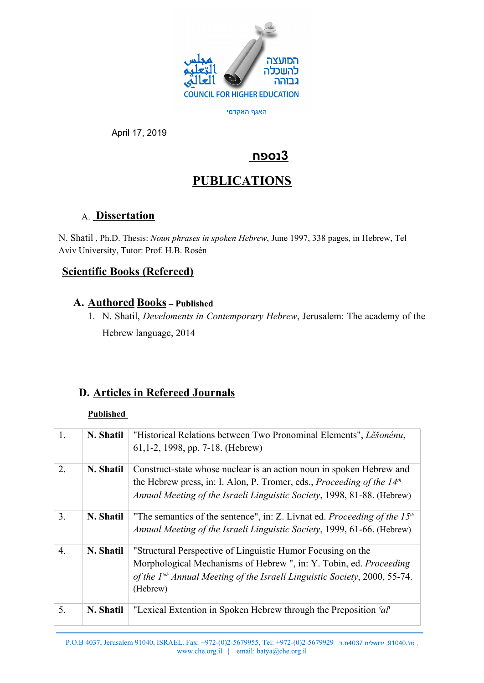

האגף האקדמי

April 17, 2019

# **3נספח**

# **PUBLICATIONS**

## A. **Dissertation**

N. Shatil , Ph.D. Thesis: *Noun phrases in spoken Hebrew*, June 1997, 338 pages, in Hebrew, Tel Aviv University, Tutor: Prof. H.B. Rosén

## **Scientific Books (Refereed)**

## **A. Authored Books – Published**

1. N. Shatil, *Develoments in Contemporary Hebrew*, Jerusalem: The academy of the Hebrew language, 2014

## **D. Articles in Refereed Journals**

## **Published**

| 1.               | N. Shatil | "Historical Relations between Two Pronominal Elements", Lesonenu,<br>$61, 1-2, 1998, pp. 7-18.$ (Hebrew)                                                                                                                                    |
|------------------|-----------|---------------------------------------------------------------------------------------------------------------------------------------------------------------------------------------------------------------------------------------------|
| 2.               | N. Shatil | Construct-state whose nuclear is an action noun in spoken Hebrew and<br>the Hebrew press, in: I. Alon, P. Tromer, eds., <i>Proceeding of the 14<sup>th</sup></i><br>Annual Meeting of the Israeli Linguistic Society, 1998, 81-88. (Hebrew) |
| 3.               | N. Shatil | "The semantics of the sentence", in: Z. Livnat ed. Proceeding of the $15th$<br>Annual Meeting of the Israeli Linguistic Society, 1999, 61-66. (Hebrew)                                                                                      |
| $\overline{4}$ . | N. Shatil | "Structural Perspective of Linguistic Humor Focusing on the<br>Morphological Mechanisms of Hebrew ", in: Y. Tobin, ed. Proceeding<br>of the 1 <sup>6th</sup> Annual Meeting of the Israeli Linguistic Society, 2000, 55-74.<br>(Hebrew)     |
| 5.               | N. Shatil | "Lexical Extention in Spoken Hebrew through the Preposition 'al'                                                                                                                                                                            |

P.O.B 4037, Jerusalem 91040, ISRAEL. Fax: +972-(0)2-5679955, Tel: +972-(0)2-5679929 .ד.ת4037 ירושלים ,91040.טל , www.che.org.il | email: batya@che.org.il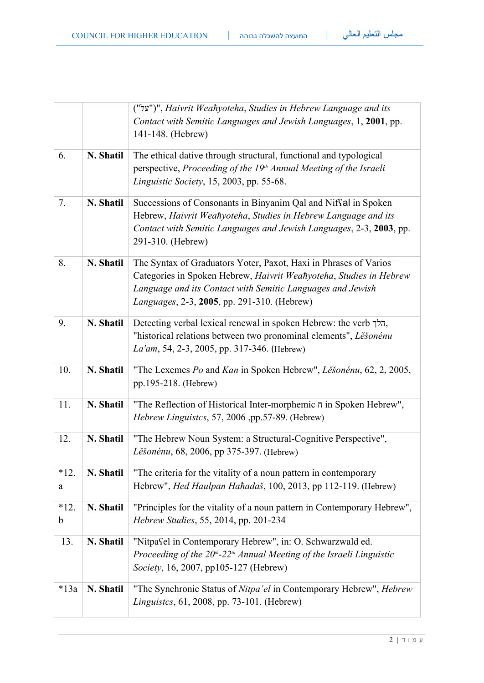| ו ונזועצו <sub>י</sub> | ______ |  |
|------------------------|--------|--|
|                        |        |  |

|             |           | 141-148. (Hebrew)                                                                                                                                                                                                                                           |  |
|-------------|-----------|-------------------------------------------------------------------------------------------------------------------------------------------------------------------------------------------------------------------------------------------------------------|--|
| 6.          | N. Shatil | The ethical dative through structural, functional and typological<br>perspective, Proceeding of the 19 <sup>th</sup> Annual Meeting of the Israeli<br>Linguistic Society, 15, 2003, pp. 55-68.                                                              |  |
| 7.          | N. Shatil | Successions of Consonants in Binyanim Qal and Niffal in Spoken<br>Hebrew, Haivrit Weahyoteha, Studies in Hebrew Language and its<br>Contact with Semitic Languages and Jewish Languages, 2-3, 2003, pp.<br>291-310. (Hebrew)                                |  |
| 8.          | N. Shatil | The Syntax of Graduators Yoter, Paxot, Haxi in Phrases of Varios<br>Categories in Spoken Hebrew, Haivrit Weahyoteha, Studies in Hebrew<br>Language and its Contact with Semitic Languages and Jewish<br><i>Languages</i> , 2-3, 2005, pp. 291-310. (Hebrew) |  |
| 9.          | N. Shatil | Detecting verbal lexical renewal in spoken Hebrew: the verb הלך,<br>"historical relations between two pronominal elements", Lešonénu<br>La'am, 54, 2-3, 2005, pp. 317-346. (Hebrew)                                                                         |  |
| 10.         | N. Shatil | "The Lexemes Po and Kan in Spoken Hebrew", Lěšonénu, 62, 2, 2005,<br>pp.195-218. (Hebrew)                                                                                                                                                                   |  |
| 11.         | N. Shatil | "The Reflection of Historical Inter-morphemic $\pi$ in Spoken Hebrew",<br>Hebrew Linguistcs, 57, 2006 ,pp.57-89. (Hebrew)                                                                                                                                   |  |
| 12.         | N. Shatil | "The Hebrew Noun System: a Structural-Cognitive Perspective",<br>Lěšonénu, 68, 2006, pp 375-397. (Hebrew)                                                                                                                                                   |  |
| $*12.$<br>a | N. Shatil | "The criteria for the vitality of a noun pattern in contemporary<br>Hebrew", <i>Hed Haulpan Hahadaš</i> , 100, 2013, pp 112-119. (Hebrew)                                                                                                                   |  |
| $*12.$<br>b | N. Shatil | "Principles for the vitality of a noun pattern in Contemporary Hebrew",<br>Hebrew Studies, 55, 2014, pp. 201-234                                                                                                                                            |  |
| 13.         | N. Shatil | "Nitpasel in Contemporary Hebrew", in: O. Schwarzwald ed.<br>Proceeding of the 20 <sup>th</sup> -22 <sup>th</sup> Annual Meeting of the Israeli Linguistic<br>Society, 16, 2007, pp105-127 (Hebrew)                                                         |  |
| $*13a$      | N. Shatil | "The Synchronic Status of Nitpa'el in Contemporary Hebrew", Hebrew<br><i>Linguistcs</i> , 61, 2008, pp. 73-101. (Hebrew)                                                                                                                                    |  |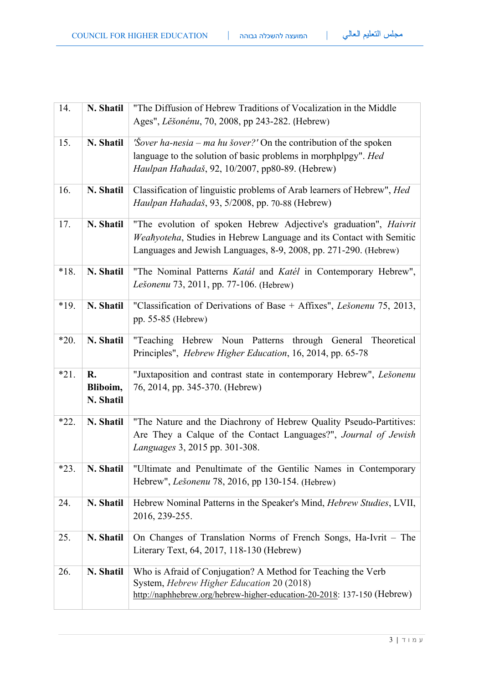| 14.    | N. Shatil                   | "The Diffusion of Hebrew Traditions of Vocalization in the Middle<br>Ages", Lěšonénu, 70, 2008, pp 243-282. (Hebrew)                                                                                        |
|--------|-----------------------------|-------------------------------------------------------------------------------------------------------------------------------------------------------------------------------------------------------------|
| 15.    | N. Shatil                   | 'Sover ha-nesia – ma hu šover?' On the contribution of the spoken<br>language to the solution of basic problems in morphplpgy". Hed<br>Haulpan Hahadaš, 92, 10/2007, pp80-89. (Hebrew)                      |
| 16.    | N. Shatil                   | Classification of linguistic problems of Arab learners of Hebrew", Hed<br>Haulpan Hahadaš, 93, 5/2008, pp. 70-88 (Hebrew)                                                                                   |
| 17.    | N. Shatil                   | "The evolution of spoken Hebrew Adjective's graduation", Haivrit<br>Weahyoteha, Studies in Hebrew Language and its Contact with Semitic<br>Languages and Jewish Languages, 8-9, 2008, pp. 271-290. (Hebrew) |
| $*18.$ | N. Shatil                   | "The Nominal Patterns Katál and Katél in Contemporary Hebrew",<br>Lešonenu 73, 2011, pp. 77-106. (Hebrew)                                                                                                   |
| $*19.$ | N. Shatil                   | "Classification of Derivations of Base + Affixes", Lešonenu 75, 2013,<br>pp. 55-85 (Hebrew)                                                                                                                 |
| $*20.$ | N. Shatil                   | "Teaching Hebrew Noun Patterns through General<br>Theoretical<br>Principles", <i>Hebrew Higher Education</i> , 16, 2014, pp. 65-78                                                                          |
| $*21.$ | R.<br>Bliboim,<br>N. Shatil | "Juxtaposition and contrast state in contemporary Hebrew", Lešonenu<br>76, 2014, pp. 345-370. (Hebrew)                                                                                                      |
| $*22.$ | N. Shatil                   | "The Nature and the Diachrony of Hebrew Quality Pseudo-Partitives:<br>Are They a Calque of the Contact Languages?", Journal of Jewish<br>Languages 3, 2015 pp. 301-308.                                     |
| $*23.$ | N. Shatil                   | "Ultimate and Penultimate of the Gentilic Names in Contemporary<br>Hebrew", <i>Lešonenu</i> 78, 2016, pp 130-154. (Hebrew)                                                                                  |
| 24.    | N. Shatil                   | Hebrew Nominal Patterns in the Speaker's Mind, Hebrew Studies, LVII,<br>2016, 239-255.                                                                                                                      |
| 25.    | N. Shatil                   | On Changes of Translation Norms of French Songs, Ha-Ivrit – The<br>Literary Text, 64, 2017, 118-130 (Hebrew)                                                                                                |
| 26.    | N. Shatil                   | Who is Afraid of Conjugation? A Method for Teaching the Verb<br>System, Hebrew Higher Education 20 (2018)<br>http://naphhebrew.org/hebrew-higher-education-20-2018: 137-150 (Hebrew)                        |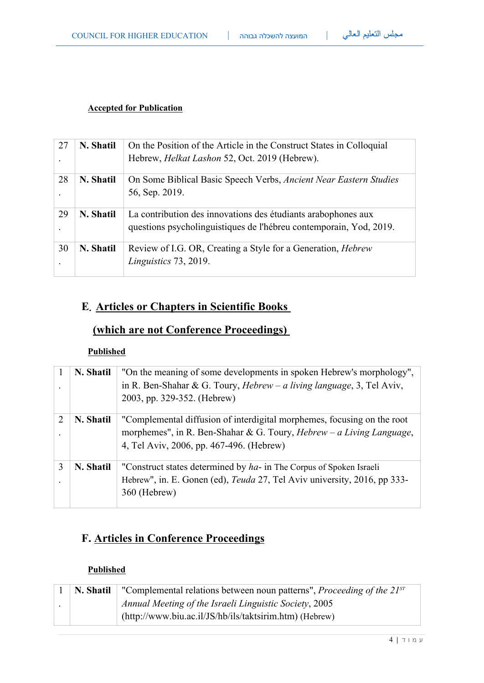### **Accepted for Publication**

| 27 | N. Shatil | On the Position of the Article in the Construct States in Colloquial<br>Hebrew, <i>Helkat Lashon</i> 52, Oct. 2019 (Hebrew).        |
|----|-----------|-------------------------------------------------------------------------------------------------------------------------------------|
| 28 | N. Shatil | On Some Biblical Basic Speech Verbs, Ancient Near Eastern Studies<br>56, Sep. 2019.                                                 |
| 29 | N. Shatil | La contribution des innovations des étudiants arabophones aux<br>questions psycholinguistiques de l'hébreu contemporain, Yod, 2019. |
| 30 | N. Shatil | Review of I.G. OR, Creating a Style for a Generation, <i>Hebrew</i><br>Linguistics 73, 2019.                                        |

# **E. Articles or Chapters in Scientific Books**

## **(which are not Conference Proceedings)**

## **Published**

|   | N. Shatil | "On the meaning of some developments in spoken Hebrew's morphology",<br>in R. Ben-Shahar & G. Toury, $Hebrew - a$ living language, 3, Tel Aviv,<br>2003, pp. 329-352. (Hebrew)                     |
|---|-----------|----------------------------------------------------------------------------------------------------------------------------------------------------------------------------------------------------|
| 2 | N. Shatil | "Complemental diffusion of interdigital morphemes, focusing on the root<br>morphemes", in R. Ben-Shahar & G. Toury, <i>Hebrew</i> – a Living Language,<br>4, Tel Aviv, 2006, pp. 467-496. (Hebrew) |
| 3 | N. Shatil | "Construct states determined by ha- in The Corpus of Spoken Israeli<br>Hebrew", in. E. Gonen (ed), <i>Teuda</i> 27, Tel Aviv university, 2016, pp 333-<br>360 (Hebrew)                             |

## **F. Articles in Conference Proceedings**

### **Published**

| $\mid$ N. Shatil $\mid$ | "Complemental relations between noun patterns", <i>Proceeding of the <math>21^{ST}</math></i> |
|-------------------------|-----------------------------------------------------------------------------------------------|
|                         | Annual Meeting of the Israeli Linguistic Society, 2005                                        |
|                         | $(http://www.biu.ac.i/JS/hb/ils/taktsirim.htm)$ (Hebrew)                                      |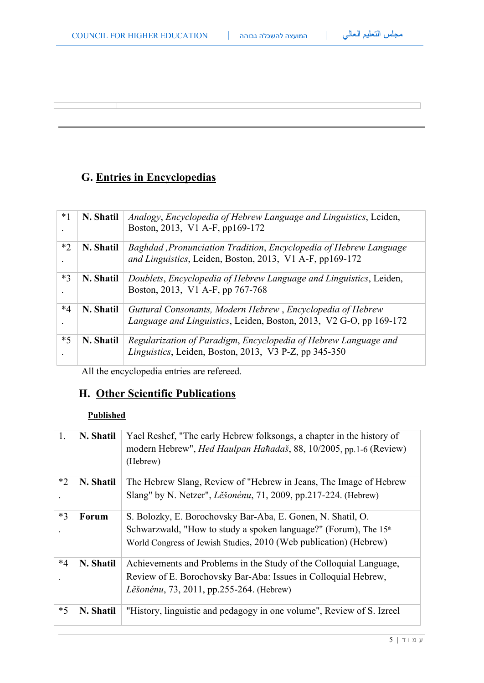# **G. Entries in Encyclopedias**

 $\sqrt{2}$ 

| $*1$ | N. Shatil | Analogy, Encyclopedia of Hebrew Language and Linguistics, Leiden,<br>Boston, 2013, V1 A-F, pp169-172                             |
|------|-----------|----------------------------------------------------------------------------------------------------------------------------------|
| $*2$ | N. Shatil | Baghdad, Pronunciation Tradition, Encyclopedia of Hebrew Language<br>and Linguistics, Leiden, Boston, 2013, V1 A-F, pp169-172    |
| $*3$ | N. Shatil | Doublets, Encyclopedia of Hebrew Language and Linguistics, Leiden,<br>Boston, 2013, V1 A-F, pp 767-768                           |
| $*4$ | N. Shatil | Guttural Consonants, Modern Hebrew, Encyclopedia of Hebrew<br>Language and Linguistics, Leiden, Boston, 2013, V2 G-O, pp 169-172 |
| $*5$ | N. Shatil | Regularization of Paradigm, Encyclopedia of Hebrew Language and<br>Linguistics, Leiden, Boston, 2013, V3 P-Z, pp 345-350         |

All the encyclopedia entries are refereed.

# **H. Other Scientific Publications**

## **Published**

| 1.   | N. Shatil | Yael Reshef, "The early Hebrew folksongs, a chapter in the history of<br>modern Hebrew", <i>Hed Haulpan Hahadaš</i> , 88, 10/2005, pp.1-6 (Review)<br>(Hebrew)                                                   |
|------|-----------|------------------------------------------------------------------------------------------------------------------------------------------------------------------------------------------------------------------|
| $*2$ | N. Shatil | The Hebrew Slang, Review of "Hebrew in Jeans, The Image of Hebrew<br>Slang" by N. Netzer", <i>Lěšonénu</i> , 71, 2009, pp.217-224. (Hebrew)                                                                      |
| $*3$ | Forum     | S. Bolozky, E. Borochovsky Bar-Aba, E. Gonen, N. Shatil, O.<br>Schwarzwald, "How to study a spoken language?" (Forum), The 15 <sup>th</sup><br>World Congress of Jewish Studies, 2010 (Web publication) (Hebrew) |
| $*4$ | N. Shatil | Achievements and Problems in the Study of the Colloquial Language,<br>Review of E. Borochovsky Bar-Aba: Issues in Colloquial Hebrew,<br>Lěšonénu, 73, 2011, pp.255-264. (Hebrew)                                 |
| $*5$ | N. Shatil | "History, linguistic and pedagogy in one volume", Review of S. Izreel                                                                                                                                            |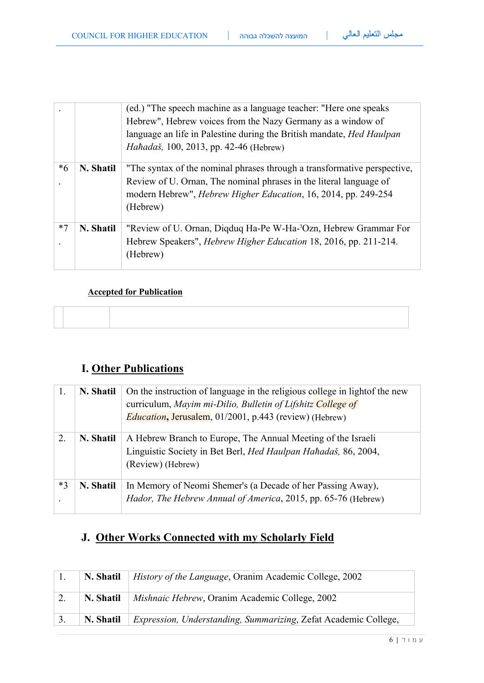|      |           | (ed.) "The speech machine as a language teacher: "Here one speaks<br>Hebrew", Hebrew voices from the Nazy Germany as a window of<br>language an life in Palestine during the British mandate, Hed Haulpan<br>Hahadaš, 100, 2013, pp. 42-46 (Hebrew) |
|------|-----------|-----------------------------------------------------------------------------------------------------------------------------------------------------------------------------------------------------------------------------------------------------|
| $*6$ | N. Shatil | "The syntax of the nominal phrases through a transformative perspective,<br>Review of U. Ornan, The nominal phrases in the literal language of<br>modern Hebrew", <i>Hebrew Higher Education</i> , 16, 2014, pp. 249-254<br>(Hebrew)                |
| $*7$ | N. Shatil | "Review of U. Ornan, Digduq Ha-Pe W-Ha-'Ozn, Hebrew Grammar For<br>Hebrew Speakers", <i>Hebrew Higher Education</i> 18, 2016, pp. 211-214.<br>(Hebrew)                                                                                              |

### **Accepted for Publication**

# **I. Other Publications**

| 1.   | N. Shatil | On the instruction of language in the religious college in light of the new<br>curriculum, Mayim mi-Dilio, Bulletin of Lifshitz College of<br><i>Education</i> , Jerusalem, 01/2001, p.443 (review) (Hebrew) |
|------|-----------|--------------------------------------------------------------------------------------------------------------------------------------------------------------------------------------------------------------|
| 2.   | N. Shatil | A Hebrew Branch to Europe, The Annual Meeting of the Israeli<br>Linguistic Society in Bet Berl, Hed Haulpan Hahadaš, 86, 2004,<br>(Review) (Hebrew)                                                          |
| $*3$ | N. Shatil | In Memory of Neomi Shemer's (a Decade of her Passing Away),<br>Hador, The Hebrew Annual of America, 2015, pp. 65-76 (Hebrew)                                                                                 |

# **J. Other Works Connected with my Scholarly Field**

| N. Shatil | <i>History of the Language, Oranim Academic College, 2002</i>          |
|-----------|------------------------------------------------------------------------|
| N. Shatil | <i>Mishnaic Hebrew, Oranim Academic College, 2002</i>                  |
| N. Shatil | <i>Expression, Understanding, Summarizing, Zefat Academic College,</i> |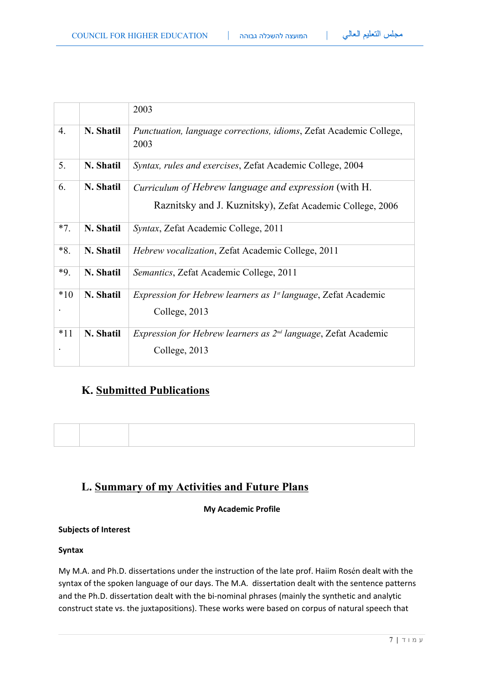|       |           | 2003                                                                                                                      |
|-------|-----------|---------------------------------------------------------------------------------------------------------------------------|
| 4.    | N. Shatil | <i>Punctuation, language corrections, idioms, Zefat Academic College,</i><br>2003                                         |
| 5.    | N. Shatil | Syntax, rules and exercises, Zefat Academic College, 2004                                                                 |
| 6.    | N. Shatil | <i>Curriculum of Hebrew language and expression (with H.</i><br>Raznitsky and J. Kuznitsky), Zefat Academic College, 2006 |
| $*7.$ | N. Shatil | Syntax, Zefat Academic College, 2011                                                                                      |
| $*8.$ | N. Shatil | <i>Hebrew vocalization, Zefat Academic College, 2011</i>                                                                  |
| $*9.$ | N. Shatil | Semantics, Zefat Academic College, 2011                                                                                   |
| $*10$ | N. Shatil | <i>Expression for Hebrew learners as <math>I^{\text{st}}</math> language, Zefat Academic</i><br>College, 2013             |
| $*11$ | N. Shatil | <i>Expression for Hebrew learners as <math>2^{nd}</math> language, Zefat Academic</i><br>College, 2013                    |

## **K. Submitted Publications**

## **L. Summary of my Activities and Future Plans**

### **My Academic Profile**

### **Subjects of Interest**

### **Syntax**

My M.A. and Ph.D. dissertations under the instruction of the late prof. Haiim Rosén dealt with the syntax of the spoken language of our days. The M.A. dissertation dealt with the sentence patterns and the Ph.D. dissertation dealt with the bi-nominal phrases (mainly the synthetic and analytic construct state vs. the juxtapositions). These works were based on corpus of natural speech that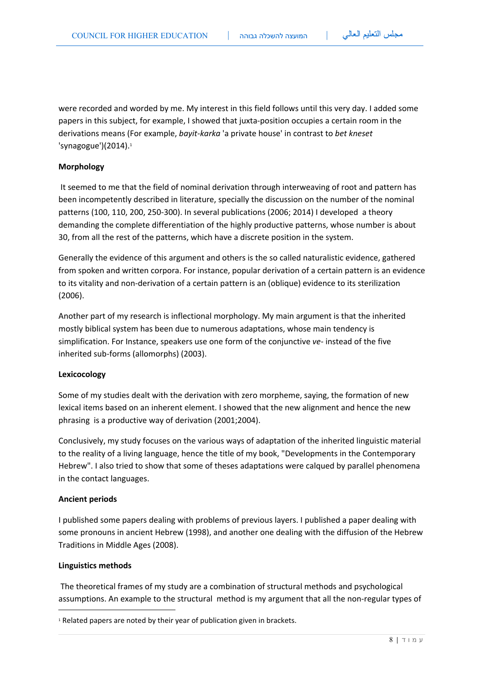were recorded and worded by me. My interest in this field follows until this very day. I added some papers in this subject, for example, I showed that juxta-position occupies a certain room in the derivations means (For example, *bayit-karka* 'a private house' in contrast to *bet kneset*  'synagogue') $(2014).1$ 

#### **Morphology**

 It seemed to me that the field of nominal derivation through interweaving of root and pattern has been incompetently described in literature, specially the discussion on the number of the nominal patterns (100, 110, 200, 250-300). In several publications (2006; 2014) I developed a theory demanding the complete differentiation of the highly productive patterns, whose number is about 30, from all the rest of the patterns, which have a discrete position in the system.

Generally the evidence of this argument and others is the so called naturalistic evidence, gathered from spoken and written corpora. For instance, popular derivation of a certain pattern is an evidence to its vitality and non-derivation of a certain pattern is an (oblique) evidence to its sterilization (2006).

Another part of my research is inflectional morphology. My main argument is that the inherited mostly biblical system has been due to numerous adaptations, whose main tendency is simplification. For Instance, speakers use one form of the conjunctive *ve-* instead of the five inherited sub-forms (allomorphs) (2003).

#### **Lexicocology**

Some of my studies dealt with the derivation with zero morpheme, saying, the formation of new lexical items based on an inherent element. I showed that the new alignment and hence the new phrasing is a productive way of derivation (2001;2004).

Conclusively, my study focuses on the various ways of adaptation of the inherited linguistic material to the reality of a living language, hence the title of my book, "Developments in the Contemporary Hebrew". I also tried to show that some of theses adaptations were calqued by parallel phenomena in the contact languages.

#### **Ancient periods**

I published some papers dealing with problems of previous layers. I published a paper dealing with some pronouns in ancient Hebrew (1998), and another one dealing with the diffusion of the Hebrew Traditions in Middle Ages (2008).

#### **Linguistics methods**

 The theoretical frames of my study are a combination of structural methods and psychological assumptions. An example to the structural method is my argument that all the non-regular types of

<sup>&</sup>lt;sup>1</sup> Related papers are noted by their year of publication given in brackets.